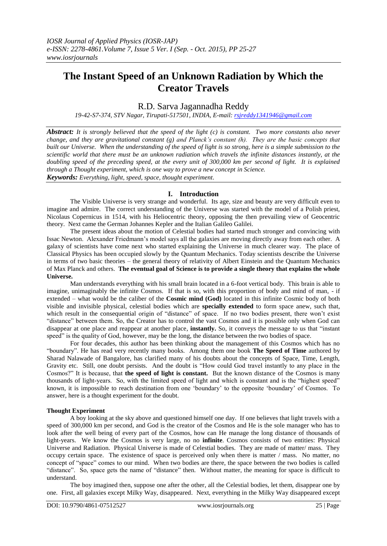# **The Instant Speed of an Unknown Radiation by Which the Creator Travels**

# R.D. Sarva Jagannadha Reddy

*19-42-S7-374, STV Nagar, Tirupati-517501, INDIA, E-mail: [rsjreddy1341946@gmail.com](mailto:rsjreddy1341946@gmail.com)*

*Abstract: It is strongly believed that the speed of the light (c) is constant. Two more constants also never change, and they are gravitational constant (g) and Planck's constant (h). They are the basic concepts that built our Universe. When the understanding of the speed of light is so strong, here is a simple submission to the scientific world that there must be an unknown radiation which travels the infinite distances instantly, at the doubling speed of the preceding speed, at the every unit of 300,000 km per second of light. It is explained through a Thought experiment, which is one way to prove a new concept in Science.*

*Keywords: Everything, light, speed, space, thought experiment*.

## **I. Introduction**

The Visible Universe is very strange and wonderful. Its age, size and beauty are very difficult even to imagine and admire. The correct understanding of the Universe was started with the model of a Polish priest, Nicolaus Copernicus in 1514, with his Heliocentric theory, opposing the then prevailing view of Geocentric theory. Next came the German Johannes Kepler and the Italian Galileo Galilei.

The present ideas about the motion of Celestial bodies had started much stronger and convincing with Issac Newton. Alexander Friedmann"s model says all the galaxies are moving directly away from each other. A galaxy of scientists have come next who started explaining the Universe in much clearer way. The place of Classical Physics has been occupied slowly by the Quantum Mechanics. Today scientists describe the Universe in terms of two basic theories – the general theory of relativity of Albert Einstein and the Quantum Mechanics of Max Planck and others. **The eventual goal of Science is to provide a single theory that explains the whole Universe.**

Man understands everything with his small brain located in a 6-foot vertical body. This brain is able to imagine, unimaginably the infinite Cosmos. If that is so, with this proportion of body and mind of man, - if extended – what would be the caliber of the **Cosmic mind (God)** located in this infinite Cosmic body of both visible and invisible physical, celestial bodies which are **specially extended** to form space anew, such that, which result in the consequential origin of "distance" of space. If no two bodies present, there won't exist "distance" between them. So, the Creator has to control the vast Cosmos and it is possible only when God can disappear at one place and reappear at another place, **instantly.** So, it conveys the message to us that "instant speed" is the quality of God, however, may be the long, the distance between the two bodies of space.

For four decades, this author has been thinking about the management of this Cosmos which has no "boundary". He has read very recently many books. Among them one book **The Speed of Time** authored by Sharad Nalawade of Bangalore, has clarified many of his doubts about the concepts of Space, Time, Length, Gravity etc. Still, one doubt persists. And the doubt is "How could God travel instantly to any place in the Cosmos?" It is because, that **the speed of light is constant.** But the known distance of the Cosmos is many thousands of light-years. So, with the limited speed of light and which is constant and is the "highest speed" known, it is impossible to reach destination from one "boundary" to the opposite "boundary" of Cosmos. To answer, here is a thought experiment for the doubt.

#### **Thought Experiment**

A boy looking at the sky above and questioned himself one day. If one believes that light travels with a speed of 300,000 km per second, and God is the creator of the Cosmos and He is the sole manager who has to look after the well being of every part of the Cosmos, how can He manage the long distance of thousands of light-years. We know the Cosmos is very large, no no **infinite**. Cosmos consists of two entities: Physical Universe and Radiation. Physical Universe is made of Celestial bodies. They are made of matter/ mass. They occupy certain space. The existence of space is perceived only when there is matter / mass. No matter, no concept of "space" comes to our mind. When two bodies are there, the space between the two bodies is called "distance". So, space gets the name of "distance" then. Without matter, the meaning for space is difficult to understand.

The boy imagined then, suppose one after the other, all the Celestial bodies, let them, disappear one by one. First, all galaxies except Milky Way, disappeared. Next, everything in the Milky Way disappeared except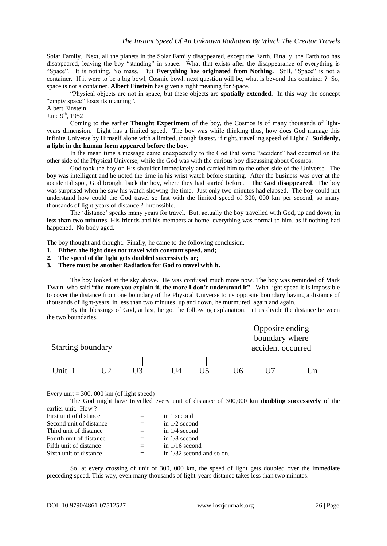Solar Family. Next, all the planets in the Solar Family disappeared, except the Earth. Finally, the Earth too has disappeared, leaving the boy "standing" in space. What that exists after the disappearance of everything is "Space". It is nothing. No mass. But **Everything has originated from Nothing.** Still, "Space" is not a container. If it were to be a big bowl, Cosmic bowl, next question will be, what is beyond this container ? So, space is not a container. **Albert Einstein** has given a right meaning for Space.

"Physical objects are not in space, but these objects are **spatially extended**. In this way the concept "empty space" loses its meaning".

#### Albert Einstein

June  $9^{th}$ , 1952

Coming to the earlier **Thought Experiment** of the boy, the Cosmos is of many thousands of lightyears dimension. Light has a limited speed. The boy was while thinking thus, how does God manage this infinite Universe by Himself alone with a limited, though fastest, if right, travelling speed of Light ? **Suddenly, a light in the human form appeared before the boy.**

In the mean time a message came unexpectedly to the God that some "accident" had occurred on the other side of the Physical Universe, while the God was with the curious boy discussing about Cosmos.

God took the boy on His shoulder immediately and carried him to the other side of the Universe. The boy was intelligent and he noted the time in his wrist watch before starting. After the business was over at the accidental spot, God brought back the boy, where they had started before. **The God disappeared**. The boy was surprised when he saw his watch showing the time. Just only two minutes had elapsed. The boy could not understand how could the God travel so fast with the limited speed of 300, 000 km per second, so many thousands of light-years of distance ? Impossible.

The "distance" speaks many years for travel. But, actually the boy travelled with God, up and down, **in less than two minutes**. His friends and his members at home, everything was normal to him, as if nothing had happened. No body aged.

The boy thought and thought. Finally, he came to the following conclusion.

- **1. Either, the light does not travel with constant speed, and;**
- **2. The speed of the light gets doubled successively or;**
- **3. There must be another Radiation for God to travel with it.**

The boy looked at the sky above. He was confused much more now. The boy was reminded of Mark Twain, who said **"the more you explain it, the more I don't understand it"**. With light speed it is impossible to cover the distance from one boundary of the Physical Universe to its opposite boundary having a distance of thousands of light-years, in less than two minutes, up and down, he murmured, again and again.

By the blessings of God, at last, he got the following explanation. Let us divide the distance between the two boundaries.



Every unit  $= 300,000$  km (of light speed)

The God might have travelled every unit of distance of 300,000 km **doubling successively** of the earlier unit. How ?

| First unit of distance  |                   | in 1 second                 |
|-------------------------|-------------------|-----------------------------|
| Second unit of distance |                   | in $1/2$ second             |
| Third unit of distance  | $\qquad \qquad -$ | in $1/4$ second             |
| Fourth unit of distance |                   | in $1/8$ second             |
| Fifth unit of distance  | $=$               | in $1/16$ second            |
| Sixth unit of distance  |                   | in $1/32$ second and so on. |

So, at every crossing of unit of 300, 000 km, the speed of light gets doubled over the immediate preceding speed. This way, even many thousands of light-years distance takes less than two minutes.